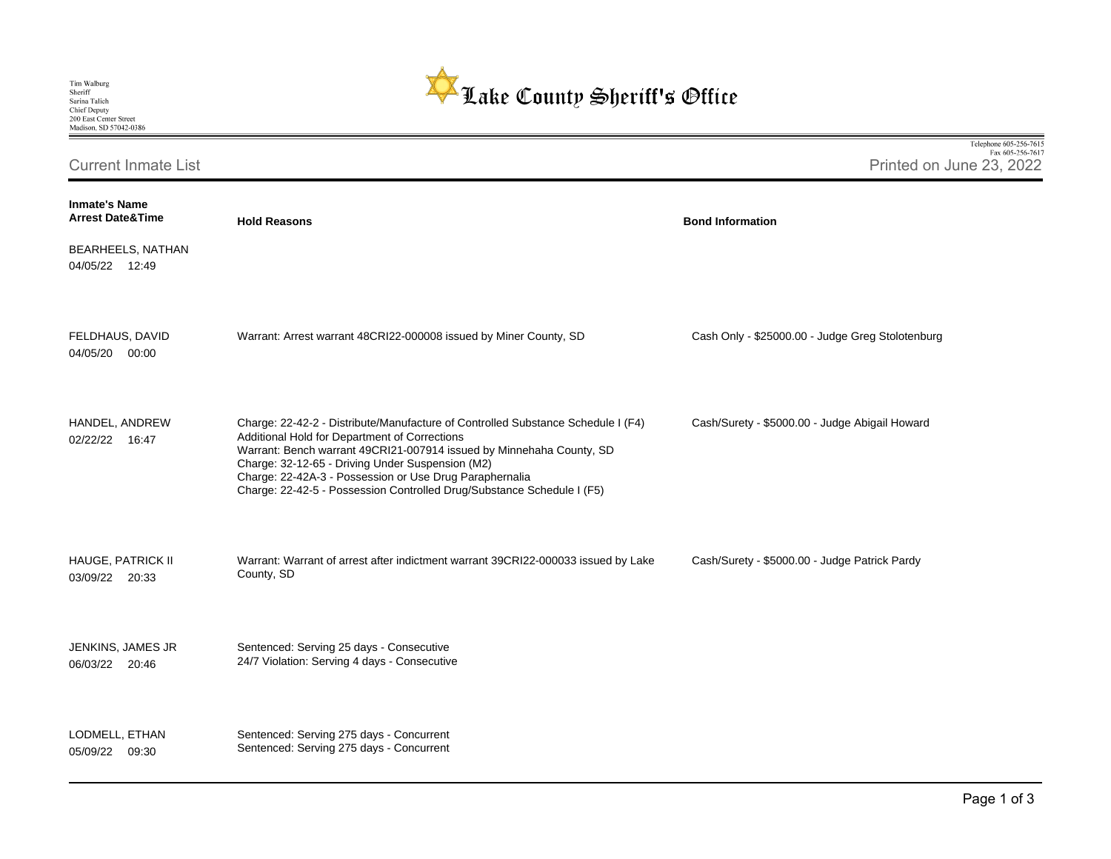

Telephone 605-256-7615 Fax 605-256-7617 Current Inmate List Printed on June 23, 2022 **Inmate's Name Arrest Date&Time Hold Reasons Bond Information**  BEARHEELS, NATHAN 04/05/22 12:49 FELDHAUS, DAVID Warrant: Arrest warrant 48CRI22-000008 issued by Miner County, SD Cash Only - \$25000.00 - Judge Greg Stolotenburg 04/05/20 00:00 HANDEL, ANDREW Charge: 22-42-2 - Distribute/Manufacture of Controlled Substance Schedule I (F4) Cash/Surety - \$5000.00 - Judge Abigail Howard Additional Hold for Department of Corrections 02/22/22 16:47 Warrant: Bench warrant 49CRI21-007914 issued by Minnehaha County, SD Charge: 32-12-65 - Driving Under Suspension (M2) Charge: 22-42A-3 - Possession or Use Drug Paraphernalia Charge: 22-42-5 - Possession Controlled Drug/Substance Schedule I (F5) HAUGE, PATRICK II Warrant: Warrant of arrest after indictment warrant 39CRI22-000033 issued by Lake Cash/Surety - \$5000.00 - Judge Patrick Pardy County, SD 03/09/22 20:33 JENKINS, JAMES JR Sentenced: Serving 25 days - Consecutive 24/7 Violation: Serving 4 days - Consecutive 06/03/22 20:46 LODMELL, ETHAN Sentenced: Serving 275 days - Concurrent Sentenced: Serving 275 days - Concurrent05/09/22 09:30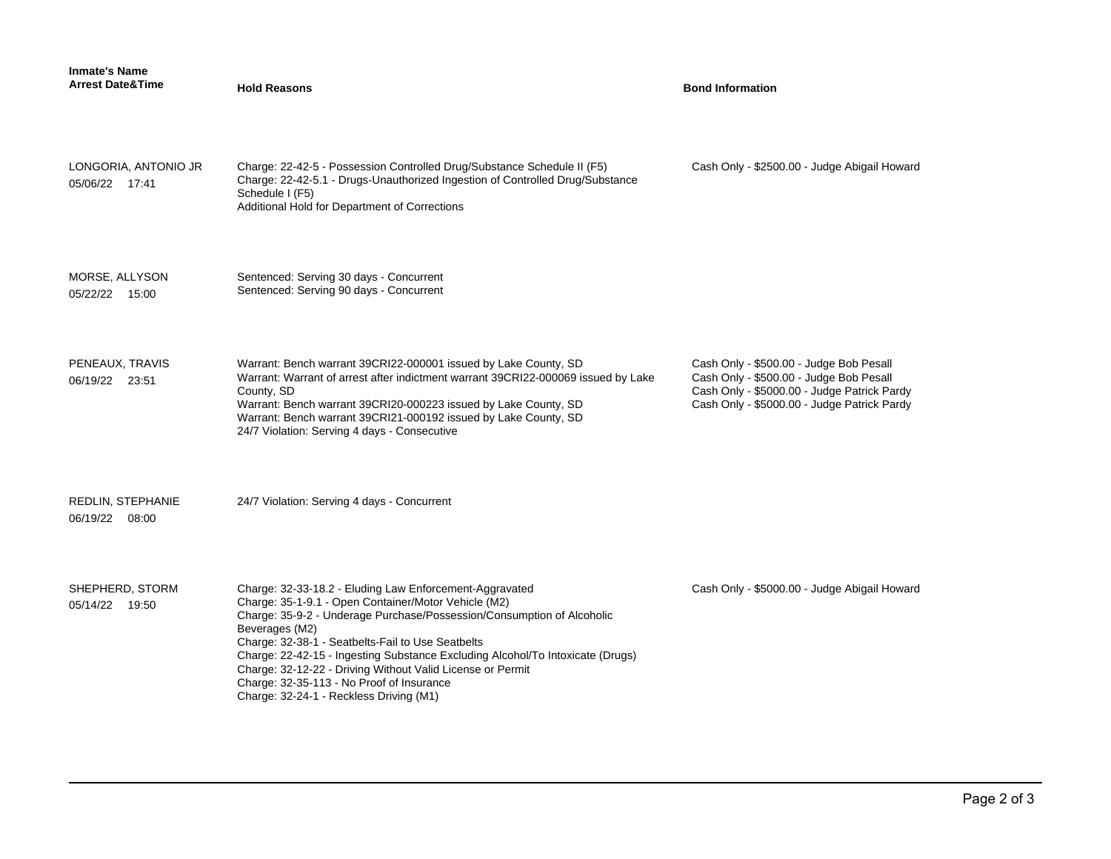| <b>Inmate's Name</b><br><b>Arrest Date&amp;Time</b> | <b>Hold Reasons</b>                                                                                                                                                                                                                                                                                                                                                                                                                                                                                      | <b>Bond Information</b>                                                                                                                                                          |
|-----------------------------------------------------|----------------------------------------------------------------------------------------------------------------------------------------------------------------------------------------------------------------------------------------------------------------------------------------------------------------------------------------------------------------------------------------------------------------------------------------------------------------------------------------------------------|----------------------------------------------------------------------------------------------------------------------------------------------------------------------------------|
| LONGORIA, ANTONIO JR<br>05/06/22 17:41              | Charge: 22-42-5 - Possession Controlled Drug/Substance Schedule II (F5)<br>Charge: 22-42-5.1 - Drugs-Unauthorized Ingestion of Controlled Drug/Substance<br>Schedule I (F5)<br>Additional Hold for Department of Corrections                                                                                                                                                                                                                                                                             | Cash Only - \$2500.00 - Judge Abigail Howard                                                                                                                                     |
| MORSE, ALLYSON<br>05/22/22 15:00                    | Sentenced: Serving 30 days - Concurrent<br>Sentenced: Serving 90 days - Concurrent                                                                                                                                                                                                                                                                                                                                                                                                                       |                                                                                                                                                                                  |
| PENEAUX, TRAVIS<br>06/19/22 23:51                   | Warrant: Bench warrant 39CRI22-000001 issued by Lake County, SD<br>Warrant: Warrant of arrest after indictment warrant 39CRI22-000069 issued by Lake<br>County, SD<br>Warrant: Bench warrant 39CRI20-000223 issued by Lake County, SD<br>Warrant: Bench warrant 39CRI21-000192 issued by Lake County, SD<br>24/7 Violation: Serving 4 days - Consecutive                                                                                                                                                 | Cash Only - \$500.00 - Judge Bob Pesall<br>Cash Only - \$500.00 - Judge Bob Pesall<br>Cash Only - \$5000.00 - Judge Patrick Pardy<br>Cash Only - \$5000.00 - Judge Patrick Pardy |
| REDLIN, STEPHANIE<br>06/19/22 08:00                 | 24/7 Violation: Serving 4 days - Concurrent                                                                                                                                                                                                                                                                                                                                                                                                                                                              |                                                                                                                                                                                  |
| SHEPHERD, STORM<br>05/14/22 19:50                   | Charge: 32-33-18.2 - Eluding Law Enforcement-Aggravated<br>Charge: 35-1-9.1 - Open Container/Motor Vehicle (M2)<br>Charge: 35-9-2 - Underage Purchase/Possession/Consumption of Alcoholic<br>Beverages (M2)<br>Charge: 32-38-1 - Seatbelts-Fail to Use Seatbelts<br>Charge: 22-42-15 - Ingesting Substance Excluding Alcohol/To Intoxicate (Drugs)<br>Charge: 32-12-22 - Driving Without Valid License or Permit<br>Charge: 32-35-113 - No Proof of Insurance<br>Charge: 32-24-1 - Reckless Driving (M1) | Cash Only - \$5000.00 - Judge Abigail Howard                                                                                                                                     |